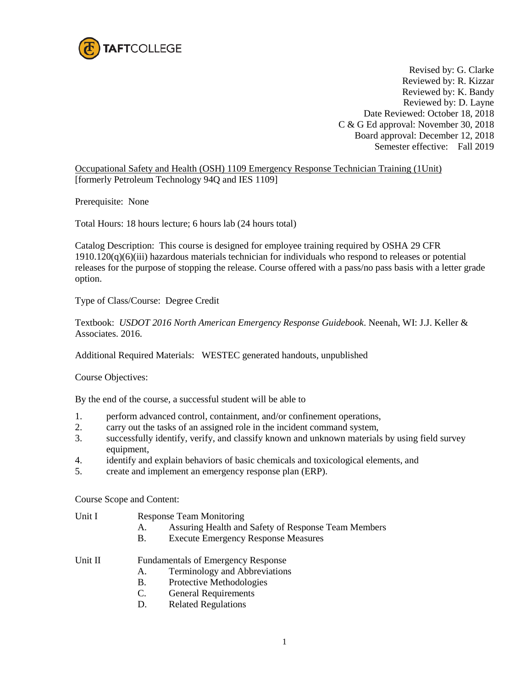

Revised by: G. Clarke Reviewed by: R. Kizzar Reviewed by: K. Bandy Reviewed by: D. Layne Date Reviewed: October 18, 2018 C & G Ed approval: November 30, 2018 Board approval: December 12, 2018 Semester effective: Fall 2019

Occupational Safety and Health (OSH) 1109 Emergency Response Technician Training (1Unit) [formerly Petroleum Technology 94Q and IES 1109]

Prerequisite: None

Total Hours: 18 hours lecture; 6 hours lab (24 hours total)

Catalog Description: This course is designed for employee training required by OSHA 29 CFR  $1910.120(q)$ (6)(iii) hazardous materials technician for individuals who respond to releases or potential releases for the purpose of stopping the release. Course offered with a pass/no pass basis with a letter grade option.

Type of Class/Course: Degree Credit

Textbook: *USDOT 2016 North American Emergency Response Guidebook*. Neenah, WI: J.J. Keller & Associates. 2016.

Additional Required Materials: WESTEC generated handouts, unpublished

Course Objectives:

By the end of the course, a successful student will be able to

- 1. perform advanced control, containment, and/or confinement operations,
- 2. carry out the tasks of an assigned role in the incident command system,
- 3. successfully identify, verify, and classify known and unknown materials by using field survey equipment,
- 4. identify and explain behaviors of basic chemicals and toxicological elements, and
- 5. create and implement an emergency response plan (ERP).

Course Scope and Content:

- Unit I Response Team Monitoring
	- A. Assuring Health and Safety of Response Team Members
	- B. Execute Emergency Response Measures
- Unit II Fundamentals of Emergency Response
	- A. Terminology and Abbreviations
	- B. Protective Methodologies
	- C. General Requirements
	- D. Related Regulations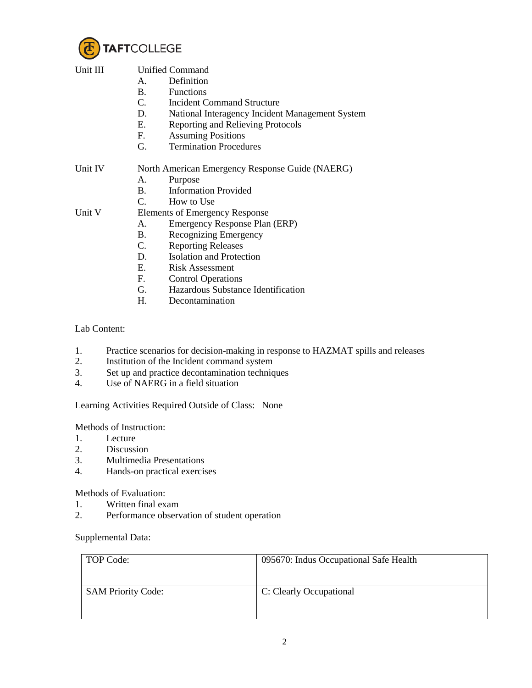

| Unit III | <b>Unified Command</b>                          |                                                 |  |
|----------|-------------------------------------------------|-------------------------------------------------|--|
|          | Α.                                              | Definition                                      |  |
|          | <b>B.</b>                                       | Functions                                       |  |
|          | $C_{\cdot}$                                     | <b>Incident Command Structure</b>               |  |
|          | D.                                              | National Interagency Incident Management System |  |
|          | E.                                              | Reporting and Relieving Protocols               |  |
|          | F.                                              | <b>Assuming Positions</b>                       |  |
|          | G.                                              | <b>Termination Procedures</b>                   |  |
| Unit IV  | North American Emergency Response Guide (NAERG) |                                                 |  |
|          | А.                                              | Purpose                                         |  |
|          | $\mathbf{B}$ .                                  | <b>Information Provided</b>                     |  |
|          | $\mathcal{C}$ .                                 | How to Use                                      |  |
| Unit V   | <b>Elements of Emergency Response</b>           |                                                 |  |
|          | Α.                                              | Emergency Response Plan (ERP)                   |  |
|          | B.                                              | Recognizing Emergency                           |  |
|          | C.                                              | <b>Reporting Releases</b>                       |  |
|          | D.                                              | <b>Isolation and Protection</b>                 |  |
|          | $E_{\rm c}$                                     | <b>Risk Assessment</b>                          |  |
|          | $F_{\cdot}$                                     | <b>Control Operations</b>                       |  |
|          | G.                                              | Hazardous Substance Identification              |  |

H. Decontamination

Lab Content:

- 1. Practice scenarios for decision-making in response to HAZMAT spills and releases<br>2. Institution of the Incident command system
- 2. Institution of the Incident command system<br>3. Set up and practice decontamination techniq
- 3. Set up and practice decontamination techniques<br>4. Use of NAERG in a field situation
- Use of NAERG in a field situation

Learning Activities Required Outside of Class: None

Methods of Instruction:

- 1. Lecture<br>2. Discussi
- 2. Discussion<br>3. Multimedia
- 3. Multimedia Presentations
- 4. Hands-on practical exercises

Methods of Evaluation:

- 1. Written final exam
- 2. Performance observation of student operation

## Supplemental Data:

| TOP Code:                 | 095670: Indus Occupational Safe Health |
|---------------------------|----------------------------------------|
| <b>SAM Priority Code:</b> | C: Clearly Occupational                |